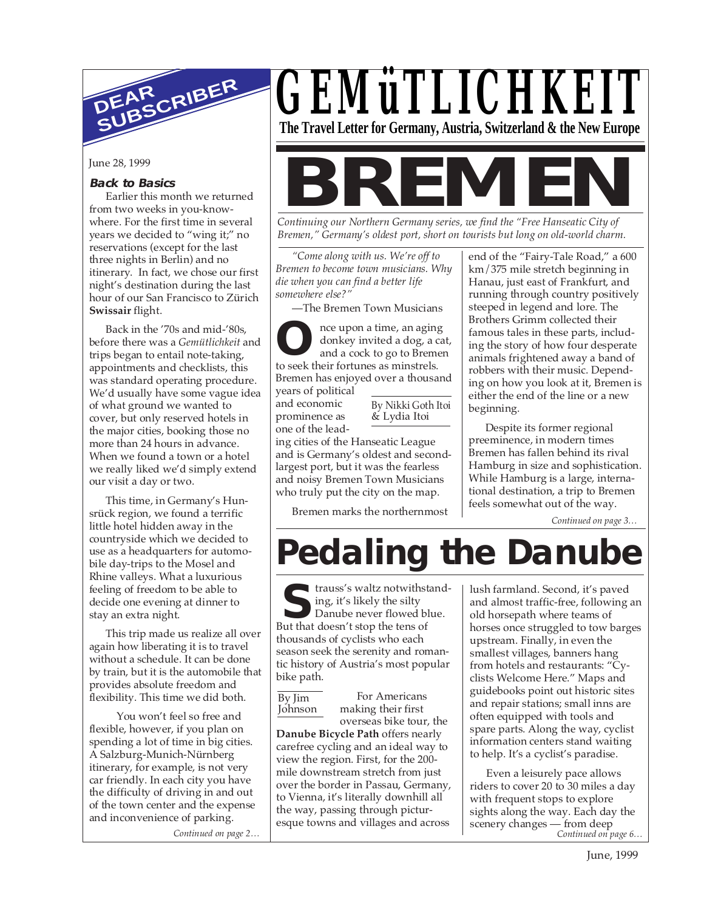

## **Back to Basics**

Earlier this month we returned from two weeks in you-knowwhere. For the first time in several years we decided to "wing it;" no reservations (except for the last three nights in Berlin) and no itinerary. In fact, we chose our first night's destination during the last hour of our San Francisco to Zürich **Swissair** flight.

Back in the '70s and mid-'80s, before there was a *Gemütlichkeit* and trips began to entail note-taking, appointments and checklists, this was standard operating procedure. We'd usually have some vague idea of what ground we wanted to cover, but only reserved hotels in the major cities, booking those no more than 24 hours in advance. When we found a town or a hotel we really liked we'd simply extend our visit a day or two.

This time, in Germany's Hunsrück region, we found a terrific little hotel hidden away in the countryside which we decided to use as a headquarters for automobile day-trips to the Mosel and Rhine valleys. What a luxurious feeling of freedom to be able to decide one evening at dinner to stay an extra night.

This trip made us realize all over again how liberating it is to travel without a schedule. It can be done by train, but it is the automobile that provides absolute freedom and flexibility. This time we did both.

You won't feel so free and flexible, however, if you plan on spending a lot of time in big cities. A Salzburg-Munich-Nürnberg itinerary, for example, is not very car friendly. In each city you have the difficulty of driving in and out of the town center and the expense and inconvenience of parking.

*Continued on page 2…*

## *GEMüTLICHKEIT* **The Travel Letter for Germany, Austria, Switzerland & the New Europe**

June 28, 1999<br>Back to Basics<br>Explicative positions of **BREMEN** 

*Continuing our Northern Germany series, we find the "Free Hanseatic City of Bremen," Germany's oldest port, short on tourists but long on old-world charm.*

*"Come along with us. We're off to Bremen to become town musicians. Why die when you can find a better life somewhere else?"*

—The Bremen Town Musicians

**O** to seek their fortunes as minstrels. nce upon a time, an aging donkey invited a dog, a cat, and a cock to go to Bremen Bremen has enjoyed over a thousand

years of political and economic prominence as one of the lead-

By Nikki Goth Itoi & Lydia Itoi

ing cities of the Hanseatic League and is Germany's oldest and secondlargest port, but it was the fearless and noisy Bremen Town Musicians who truly put the city on the map.

Bremen marks the northernmost

end of the "Fairy-Tale Road," a 600 km/375 mile stretch beginning in Hanau, just east of Frankfurt, and running through country positively steeped in legend and lore. The Brothers Grimm collected their famous tales in these parts, including the story of how four desperate animals frightened away a band of robbers with their music. Depending on how you look at it, Bremen is either the end of the line or a new beginning.

Despite its former regional preeminence, in modern times Bremen has fallen behind its rival Hamburg in size and sophistication. While Hamburg is a large, international destination, a trip to Bremen feels somewhat out of the way.

*Continued on page 3…*

# **Pedaling the Danube**

**S** But that doesn't stop the tens of trauss's waltz notwithstanding, it's likely the silty Danube never flowed blue. thousands of cyclists who each season seek the serenity and romantic history of Austria's most popular bike path.

By Jim Johnson

## For Americans making their first

overseas bike tour, the **Danube Bicycle Path** offers nearly carefree cycling and an ideal way to view the region. First, for the 200 mile downstream stretch from just over the border in Passau, Germany, to Vienna, it's literally downhill all the way, passing through picturesque towns and villages and across

lush farmland. Second, it's paved and almost traffic-free, following an old horsepath where teams of horses once struggled to tow barges upstream. Finally, in even the smallest villages, banners hang from hotels and restaurants: "Cyclists Welcome Here." Maps and guidebooks point out historic sites and repair stations; small inns are often equipped with tools and spare parts. Along the way, cyclist information centers stand waiting to help. It's a cyclist's paradise.

*Continued on page 6…* Even a leisurely pace allows riders to cover 20 to 30 miles a day with frequent stops to explore sights along the way. Each day the scenery changes — from deep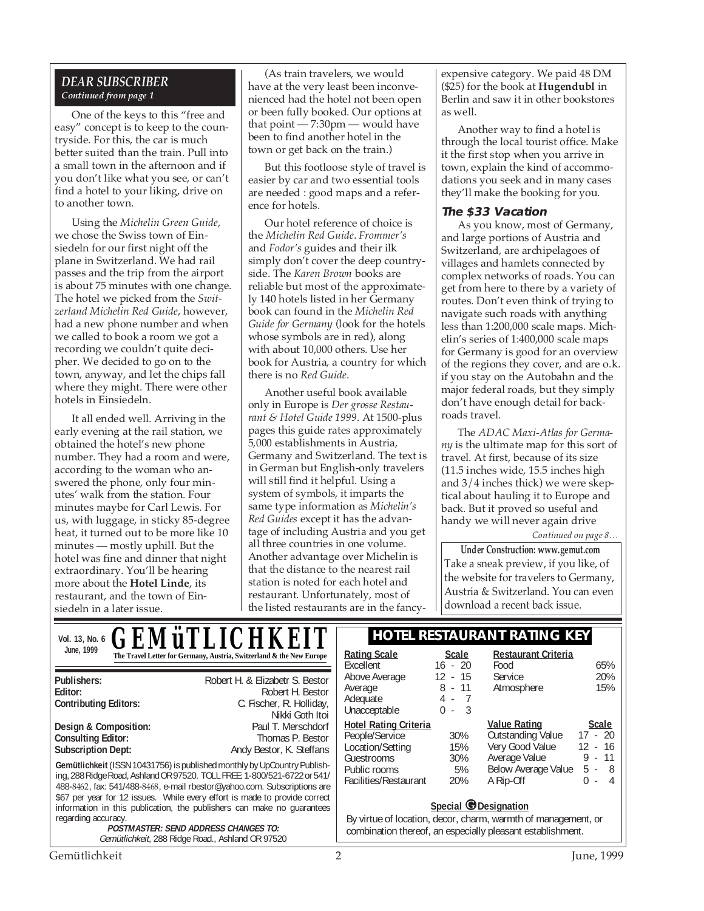## *DEAR SUBSCRIBER Continued from page 1*

One of the keys to this "free and easy" concept is to keep to the countryside. For this, the car is much better suited than the train. Pull into a small town in the afternoon and if you don't like what you see, or can't find a hotel to your liking, drive on to another town.

Using the *Michelin Green Guide*, we chose the Swiss town of Einsiedeln for our first night off the plane in Switzerland. We had rail passes and the trip from the airport is about 75 minutes with one change. The hotel we picked from the *Switzerland Michelin Red Guide*, however, had a new phone number and when we called to book a room we got a recording we couldn't quite decipher. We decided to go on to the town, anyway, and let the chips fall where they might. There were other hotels in Einsiedeln.

It all ended well. Arriving in the early evening at the rail station, we obtained the hotel's new phone number. They had a room and were, according to the woman who answered the phone, only four minutes' walk from the station. Four minutes maybe for Carl Lewis. For us, with luggage, in sticky 85-degree heat, it turned out to be more like 10 minutes — mostly uphill. But the hotel was fine and dinner that night extraordinary. You'll be hearing more about the **Hotel Linde**, its restaurant, and the town of Einsiedeln in a later issue.

(As train travelers, we would have at the very least been inconvenienced had the hotel not been open or been fully booked. Our options at that point — 7:30pm — would have been to find another hotel in the town or get back on the train.)

But this footloose style of travel is easier by car and two essential tools are needed : good maps and a reference for hotels.

Our hotel reference of choice is the *Michelin Red Guide*. *Frommer's* and *Fodor's* guides and their ilk simply don't cover the deep countryside. The *Karen Brown* books are reliable but most of the approximately 140 hotels listed in her Germany book can found in the *Michelin Red Guide for Germany* (look for the hotels whose symbols are in red), along with about 10,000 others. Use her book for Austria, a country for which there is no *Red Guide*.

Another useful book available only in Europe is *Der grosse Restaurant & Hotel Guide 1999*. At 1500-plus pages this guide rates approximately 5,000 establishments in Austria, Germany and Switzerland. The text is in German but English-only travelers will still find it helpful. Using a system of symbols, it imparts the same type information as *Michelin's Red Guides* except it has the advantage of including Austria and you get all three countries in one volume. Another advantage over Michelin is that the distance to the nearest rail station is noted for each hotel and restaurant. Unfortunately, most of the listed restaurants are in the fancyexpensive category. We paid 48 DM (\$25) for the book at **Hugendubl** in Berlin and saw it in other bookstores as well.

Another way to find a hotel is through the local tourist office. Make it the first stop when you arrive in town, explain the kind of accommodations you seek and in many cases they'll make the booking for you.

### **The \$33 Vacation**

As you know, most of Germany, and large portions of Austria and Switzerland, are archipelagoes of villages and hamlets connected by complex networks of roads. You can get from here to there by a variety of routes. Don't even think of trying to navigate such roads with anything less than 1:200,000 scale maps. Michelin's series of 1:400,000 scale maps for Germany is good for an overview of the regions they cover, and are o.k. if you stay on the Autobahn and the major federal roads, but they simply don't have enough detail for backroads travel.

The *ADAC Maxi-Atlas for Germany* is the ultimate map for this sort of travel. At first, because of its size (11.5 inches wide, 15.5 inches high and 3/4 inches thick) we were skeptical about hauling it to Europe and back. But it proved so useful and handy we will never again drive

*Continued on page 8…*

**Under Construction: www.gemut.com** Take a sneak preview, if you like, of the website for travelers to Germany, Austria & Switzerland. You can even download a recent back issue.

| <b>GEMÜTLICHKEIT</b><br>Vol. 13, No. 6                                                                                                                                                                                                                                                                                                                                                                                                                                                                                                                                                                                                                                      | <b>HOTEL RESTAURANT RATING KEY</b>                                                                                                                                                                                                                                                                                                                                                                                                                                                                                                   |  |
|-----------------------------------------------------------------------------------------------------------------------------------------------------------------------------------------------------------------------------------------------------------------------------------------------------------------------------------------------------------------------------------------------------------------------------------------------------------------------------------------------------------------------------------------------------------------------------------------------------------------------------------------------------------------------------|--------------------------------------------------------------------------------------------------------------------------------------------------------------------------------------------------------------------------------------------------------------------------------------------------------------------------------------------------------------------------------------------------------------------------------------------------------------------------------------------------------------------------------------|--|
| June, 1999<br>The Travel Letter for Germany, Austria, Switzerland & the New Europe                                                                                                                                                                                                                                                                                                                                                                                                                                                                                                                                                                                          | <b>Restaurant Criteria</b><br><b>Rating Scale</b><br>Scale<br>$16 - 20$<br>Excellent<br>65%<br>Food                                                                                                                                                                                                                                                                                                                                                                                                                                  |  |
| Robert H. & Elizabetr S. Bestor<br>Publishers:<br>Editor:<br>Robert H. Bestor<br>C. Fischer, R. Holliday,<br><b>Contributing Editors:</b><br>Nikki Goth Itoi                                                                                                                                                                                                                                                                                                                                                                                                                                                                                                                | 12<br>$-15$<br>20%<br>Above Average<br>Service<br>8<br>$-11$<br>15%<br>Atmosphere<br>Average<br>Adequate<br>4 -<br>3<br>Unacceptable<br>$\Omega$<br>$\sim$                                                                                                                                                                                                                                                                                                                                                                           |  |
| Paul T. Merschdorf<br>Design & Composition:<br><b>Consulting Editor:</b><br>Thomas P. Bestor<br><b>Subscription Dept:</b><br>Andy Bestor, K. Steffans<br>Gemütlichkeit (ISSN 10431756) is published monthly by UpCountry Publish-<br>ing, 288 Ridge Road, Ashland OR 97520. TOLL FREE: 1-800/521-6722 or 541/<br>488-8462, fax: 541/488-8468, e-mail rbestor@yahoo.com. Subscriptions are<br>\$67 per year for 12 issues. While every effort is made to provide correct<br>information in this publication, the publishers can make no quarantees<br>regarding accuracy.<br><b>POSTMASTER: SEND ADDRESS CHANGES TO:</b><br>Gemütlichkeit, 288 Ridge Road., Ashland OR 97520 | <b>Value Rating</b><br><b>Scale</b><br><b>Hotel Rating Criteria</b><br>Outstanding Value<br>$17 - 20$<br>People/Service<br>30%<br>Very Good Value<br>12<br>- 16<br>Location/Setting<br>15%<br>Average Value<br>$9 - 11$<br>Guestrooms<br>30%<br>Below Average Value<br>Public rooms<br>5%<br>$5 - 8$<br>Facilities/Restaurant<br>A Rip-Off<br>20%<br>$-4$<br>$\Omega$<br>Special <i>O</i> Designation<br>By virtue of location, decor, charm, warmth of management, or<br>combination thereof, an especially pleasant establishment. |  |

Gemütlichkeit 2 June, 1999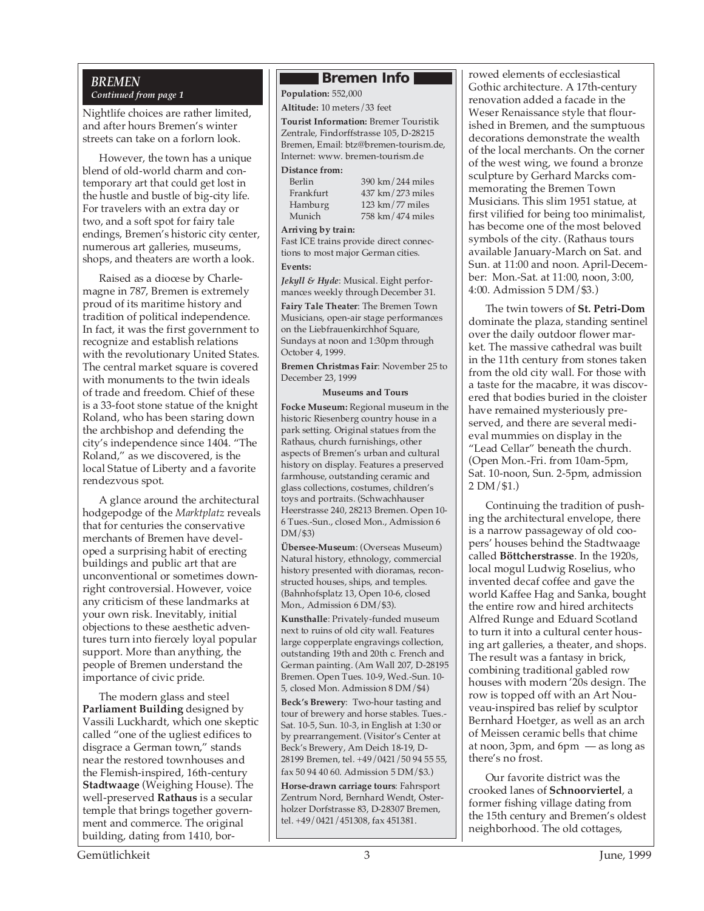## *BREMEN*

## *Continued from page 1*

Nightlife choices are rather limited, and after hours Bremen's winter streets can take on a forlorn look.

However, the town has a unique blend of old-world charm and contemporary art that could get lost in the hustle and bustle of big-city life. For travelers with an extra day or two, and a soft spot for fairy tale endings, Bremen's historic city center, numerous art galleries, museums, shops, and theaters are worth a look.

Raised as a diocese by Charlemagne in 787, Bremen is extremely proud of its maritime history and tradition of political independence. In fact, it was the first government to recognize and establish relations with the revolutionary United States. The central market square is covered with monuments to the twin ideals of trade and freedom. Chief of these is a 33-foot stone statue of the knight Roland, who has been staring down the archbishop and defending the city's independence since 1404. "The Roland," as we discovered, is the local Statue of Liberty and a favorite rendezvous spot.

A glance around the architectural hodgepodge of the *Marktplatz* reveals that for centuries the conservative merchants of Bremen have developed a surprising habit of erecting buildings and public art that are unconventional or sometimes downright controversial. However, voice any criticism of these landmarks at your own risk. Inevitably, initial objections to these aesthetic adventures turn into fiercely loyal popular support. More than anything, the people of Bremen understand the importance of civic pride.

The modern glass and steel **Parliament Building** designed by Vassili Luckhardt, which one skeptic called "one of the ugliest edifices to disgrace a German town," stands near the restored townhouses and the Flemish-inspired, 16th-century **Stadtwaage** (Weighing House). The well-preserved **Rathaus** is a secular temple that brings together government and commerce. The original building, dating from 1410, bor-

## **Bremen Info**

#### **Population:** 552,000 **Altitude:** 10 meters/33 feet

**Tourist Information:** Bremer Touristik Zentrale, Findorffstrasse 105, D-28215 Bremen, Email: btz@bremen-tourism.de, Internet: www. bremen-tourism.de

#### **Distance from:**

| erlin    |  |
|----------|--|
| rankfurt |  |
| lamburg  |  |
| Iunich   |  |

Berlin 390 km/244 miles<br>Frankfurt 437 km/273 miles Frankfurt 437 km/273 miles<br>Hamburg 123 km/77 miles  $123 \mathrm{km}/77$  miles Munich 758 km/474 miles

#### **Arriving by train:**

Fast ICE trains provide direct connections to most major German cities.

## **Events:**

*Jekyll & Hyde*: Musical. Eight performances weekly through December 31. **Fairy Tale Theater**: The Bremen Town Musicians, open-air stage performances on the Liebfrauenkirchhof Square, Sundays at noon and 1:30pm through October 4, 1999.

**Bremen Christmas Fair**: November 25 to December 23, 1999

#### **Museums and Tours**

**Focke Museum:** Regional museum in the historic Riesenberg country house in a park setting. Original statues from the Rathaus, church furnishings, other aspects of Bremen's urban and cultural history on display. Features a preserved farmhouse, outstanding ceramic and glass collections, costumes, children's toys and portraits. (Schwachhauser Heerstrasse 240, 28213 Bremen. Open 10- 6 Tues.-Sun., closed Mon., Admission 6 DM/\$3)

**Übersee-Museum**: (Overseas Museum) Natural history, ethnology, commercial history presented with dioramas, reconstructed houses, ships, and temples. (Bahnhofsplatz 13, Open 10-6, closed Mon., Admission 6 DM/\$3).

**Kunsthalle**: Privately-funded museum next to ruins of old city wall. Features large copperplate engravings collection, outstanding 19th and 20th c. French and German painting. (Am Wall 207, D-28195 Bremen. Open Tues. 10-9, Wed.-Sun. 10- 5, closed Mon. Admission 8 DM/\$4)

**Beck's Brewery**: Two-hour tasting and tour of brewery and horse stables. Tues.- Sat. 10-5, Sun. 10-3, in English at 1:30 or by prearrangement. (Visitor's Center at Beck's Brewery, Am Deich 18-19, D-28199 Bremen, tel. +49/0421/50 94 55 55, fax 50 94 40 60. Admission 5 DM/\$3.)

**Horse-drawn carriage tours**: Fahrsport Zentrum Nord, Bernhard Wendt, Osterholzer Dorfstrasse 83, D-28307 Bremen, tel. +49/0421/451308, fax 451381.

rowed elements of ecclesiastical Gothic architecture. A 17th-century renovation added a facade in the Weser Renaissance style that flourished in Bremen, and the sumptuous decorations demonstrate the wealth of the local merchants. On the corner of the west wing, we found a bronze sculpture by Gerhard Marcks commemorating the Bremen Town Musicians. This slim 1951 statue, at first vilified for being too minimalist, has become one of the most beloved symbols of the city. (Rathaus tours available January-March on Sat. and Sun. at 11:00 and noon. April-December: Mon.-Sat. at 11:00, noon, 3:00, 4:00. Admission 5 DM/\$3.)

The twin towers of **St. Petri-Dom** dominate the plaza, standing sentinel over the daily outdoor flower market. The massive cathedral was built in the 11th century from stones taken from the old city wall. For those with a taste for the macabre, it was discovered that bodies buried in the cloister have remained mysteriously preserved, and there are several medieval mummies on display in the "Lead Cellar" beneath the church. (Open Mon.-Fri. from 10am-5pm, Sat. 10-noon, Sun. 2-5pm, admission 2 DM/\$1.)

Continuing the tradition of pushing the architectural envelope, there is a narrow passageway of old coopers' houses behind the Stadtwaage called **Böttcherstrasse**. In the 1920s, local mogul Ludwig Roselius, who invented decaf coffee and gave the world Kaffee Hag and Sanka, bought the entire row and hired architects Alfred Runge and Eduard Scotland to turn it into a cultural center housing art galleries, a theater, and shops. The result was a fantasy in brick, combining traditional gabled row houses with modern '20s design. The row is topped off with an Art Nouveau-inspired bas relief by sculptor Bernhard Hoetger, as well as an arch of Meissen ceramic bells that chime at noon, 3pm, and 6pm — as long as there's no frost.

Our favorite district was the crooked lanes of **Schnoorviertel**, a former fishing village dating from the 15th century and Bremen's oldest neighborhood. The old cottages,

Gemütlichkeit 3 June, 1999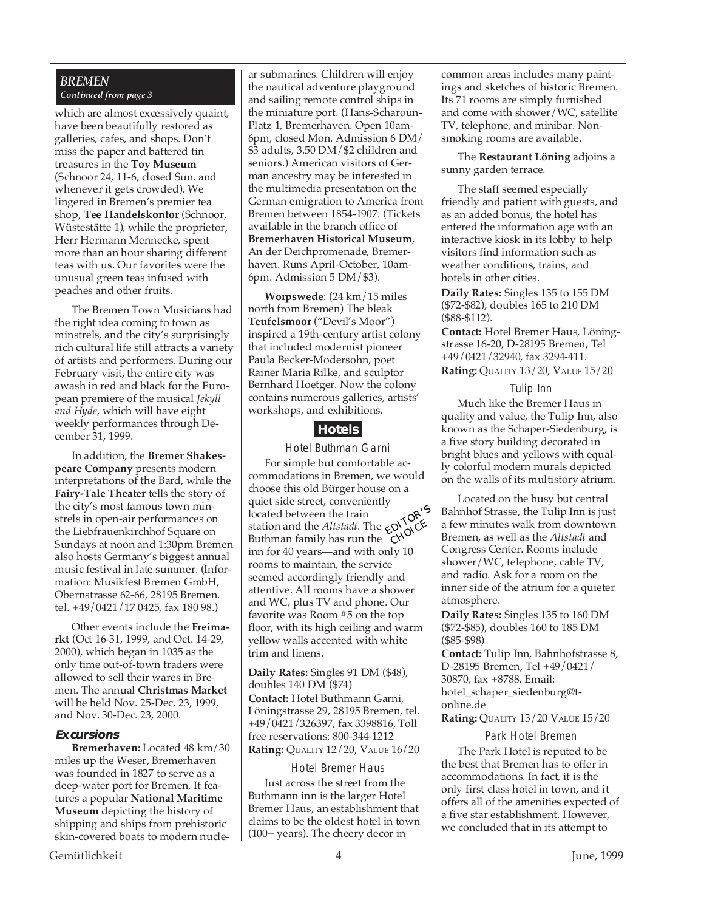## *BREMEN Continued from page 3*

which are almost excessively quaint, have been beautifully restored as galleries, cafes, and shops. Don't miss the paper and battered tin treasures in the **Toy Museum** (Schnoor 24, 11-6, closed Sun. and whenever it gets crowded). We lingered in Bremen's premier tea shop, **Tee Handelskontor** (Schnoor, Wüstestätte 1), while the proprietor, Herr Hermann Mennecke, spent more than an hour sharing different teas with us. Our favorites were the unusual green teas infused with peaches and other fruits.

The Bremen Town Musicians had the right idea coming to town as minstrels, and the city's surprisingly rich cultural life still attracts a variety of artists and performers. During our February visit, the entire city was awash in red and black for the European premiere of the musical *Jekyll and Hyde*, which will have eight weekly performances through December 31, 1999.

In addition, the **Bremer Shakespeare Company** presents modern interpretations of the Bard, while the **Fairy-Tale Theater** tells the story of the city's most famous town minstrels in open-air performances on the Liebfrauenkirchhof Square on Sundays at noon and 1:30pm Bremen also hosts Germany's biggest annual music festival in late summer. (Information: Musikfest Bremen GmbH, Obernstrasse 62-66, 28195 Bremen. tel. +49/0421/17 0425, fax 180 98.)

Other events include the **Freimarkt** (Oct 16-31, 1999, and Oct. 14-29, 2000), which began in 1035 as the only time out-of-town traders were allowed to sell their wares in Bremen. The annual **Christmas Market** will be held Nov. 25-Dec. 23, 1999, and Nov. 30-Dec. 23, 2000.

### **Excursions**

**Bremerhaven:** Located 48 km/30 miles up the Weser, Bremerhaven was founded in 1827 to serve as a deep-water port for Bremen. It features a popular **National Maritime Museum** depicting the history of shipping and ships from prehistoric skin-covered boats to modern nucle-

ar submarines. Children will enjoy the nautical adventure playground and sailing remote control ships in the miniature port. (Hans-Scharoun-Platz 1, Bremerhaven. Open 10am-6pm, closed Mon. Admission 6 DM/ \$3 adults, 3.50 DM/\$2 children and seniors.) American visitors of German ancestry may be interested in the multimedia presentation on the German emigration to America from Bremen between 1854-1907. (Tickets available in the branch office of **Bremerhaven Historical Museum**, An der Deichpromenade, Bremerhaven. Runs April-October, 10am-6pm. Admission 5 DM/\$3).

**Worpswede**: (24 km/15 miles north from Bremen) The bleak **Teufelsmoor** ("Devil's Moor") inspired a 19th-century artist colony that included modernist pioneer Paula Becker-Modersohn, poet Rainer Maria Rilke, and sculptor Bernhard Hoetger. Now the colony contains numerous galleries, artists' workshops, and exhibitions.

## **Hotels**

Hotel Buthman Garni For simple but comfortable accommodations in Bremen, we would choose this old Bürger house on a quiet side street, conveniently located between the train station and the *Altstadt*. The Buthman family has run the Example *in the distant*. The **EXAMPLE**<br>
Suthman family has run the **CHOICE**<br>
inn for 40 years rooms to maintain, the service seemed accordingly friendly and attentive. All rooms have a shower and WC, plus TV and phone. Our favorite was Room #5 on the top floor, with its high ceiling and warm yellow walls accented with white trim and linens. EDITOR'S **CHOICE** 

**Daily Rates:** Singles 91 DM (\$48), doubles 140 DM (\$74) **Contact:** Hotel Buthmann Garni, Löningstrasse 29, 28195 Bremen, tel. +49/0421/326397, fax 3398816, Toll free reservations: 800-344-1212 **Rating:** QUALITY 12/20, VALUE 16/20

Hotel Bremer Haus Just across the street from the Buthmann inn is the larger Hotel Bremer Haus, an establishment that claims to be the oldest hotel in town (100+ years). The cheery decor in

common areas includes many paintings and sketches of historic Bremen. Its 71 rooms are simply furnished and come with shower/WC, satellite TV, telephone, and minibar. Nonsmoking rooms are available.

The **Restaurant Löning** adjoins a sunny garden terrace.

The staff seemed especially friendly and patient with guests, and as an added bonus, the hotel has entered the information age with an interactive kiosk in its lobby to help visitors find information such as weather conditions, trains, and hotels in other cities.

**Daily Rates:** Singles 135 to 155 DM (\$72-\$82), doubles 165 to 210 DM (\$88-\$112).

**Contact:** Hotel Bremer Haus, Löningstrasse 16-20, D-28195 Bremen, Tel +49/0421/32940, fax 3294-411. **Rating:** QUALITY 13/20, VALUE 15/20

#### Tulip Inn

Much like the Bremer Haus in quality and value, the Tulip Inn, also known as the Schaper-Siedenburg, is a five story building decorated in bright blues and yellows with equally colorful modern murals depicted on the walls of its multistory atrium.

Located on the busy but central Bahnhof Strasse, the Tulip Inn is just a few minutes walk from downtown Bremen, as well as the *Altstadt* and Congress Center. Rooms include shower/WC, telephone, cable TV, and radio. Ask for a room on the inner side of the atrium for a quieter atmosphere.

**Daily Rates:** Singles 135 to 160 DM (\$72-\$85), doubles 160 to 185 DM (\$85-\$98)

**Contact:** Tulip Inn, Bahnhofstrasse 8, D-28195 Bremen, Tel +49/0421/ 30870, fax +8788. Email: hotel schaper siedenburg@tonline.de

**Rating: QUALITY 13/20 VALUE 15/20** 

### Park Hotel Bremen

The Park Hotel is reputed to be the best that Bremen has to offer in accommodations. In fact, it is the only first class hotel in town, and it offers all of the amenities expected of a five star establishment. However, we concluded that in its attempt to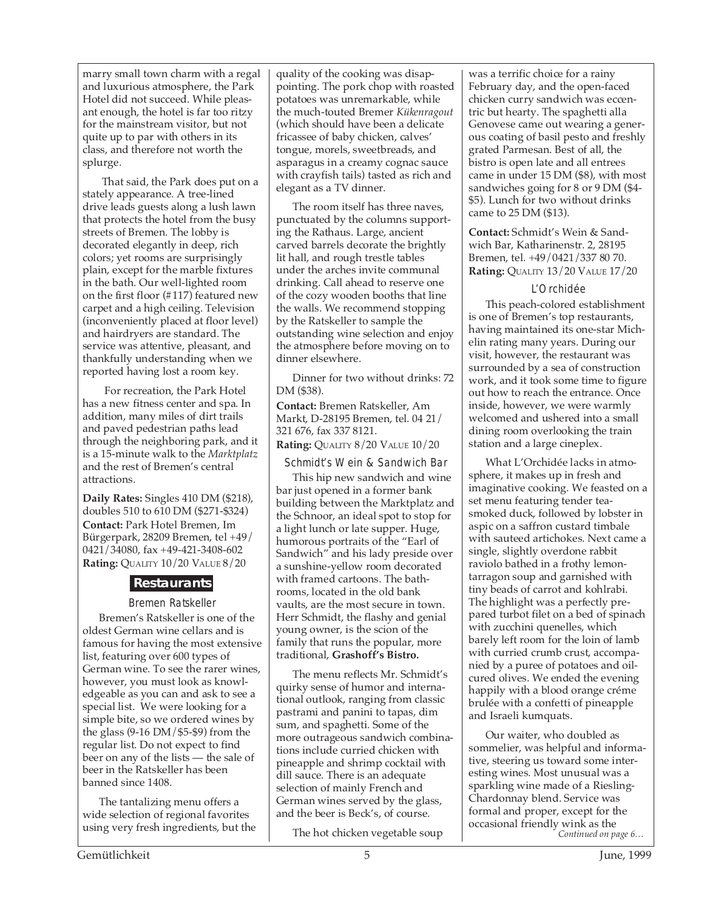marry small town charm with a regal and luxurious atmosphere, the Park Hotel did not succeed. While pleasant enough, the hotel is far too ritzy for the mainstream visitor, but not quite up to par with others in its class, and therefore not worth the splurge.

 That said, the Park does put on a stately appearance. A tree-lined drive leads guests along a lush lawn that protects the hotel from the busy streets of Bremen. The lobby is decorated elegantly in deep, rich colors; yet rooms are surprisingly plain, except for the marble fixtures in the bath. Our well-lighted room on the first floor (#117) featured new carpet and a high ceiling. Television (inconveniently placed at floor level) and hairdryers are standard. The service was attentive, pleasant, and thankfully understanding when we reported having lost a room key.

 For recreation, the Park Hotel has a new fitness center and spa. In addition, many miles of dirt trails and paved pedestrian paths lead through the neighboring park, and it is a 15-minute walk to the *Marktplatz* and the rest of Bremen's central attractions.

**Daily Rates:** Singles 410 DM (\$218), doubles 510 to 610 DM (\$271-\$324) **Contact:** Park Hotel Bremen, Im Bürgerpark, 28209 Bremen, tel +49/ 0421/34080, fax +49-421-3408-602 **Rating:** QUALITY 10/20 VALUE 8/20

## **Restaurants**

### Bremen Ratskeller

Bremen's Ratskeller is one of the oldest German wine cellars and is famous for having the most extensive list, featuring over 600 types of German wine. To see the rarer wines, however, you must look as knowledgeable as you can and ask to see a special list. We were looking for a simple bite, so we ordered wines by the glass (9-16 DM/\$5-\$9) from the regular list. Do not expect to find beer on any of the lists — the sale of beer in the Ratskeller has been banned since 1408.

The tantalizing menu offers a wide selection of regional favorites using very fresh ingredients, but the quality of the cooking was disappointing. The pork chop with roasted potatoes was unremarkable, while the much-touted Bremer *Kükenragout* (which should have been a delicate fricassee of baby chicken, calves' tongue, morels, sweetbreads, and asparagus in a creamy cognac sauce with crayfish tails) tasted as rich and elegant as a TV dinner.

The room itself has three naves, punctuated by the columns supporting the Rathaus. Large, ancient carved barrels decorate the brightly lit hall, and rough trestle tables under the arches invite communal drinking. Call ahead to reserve one of the cozy wooden booths that line the walls. We recommend stopping by the Ratskeller to sample the outstanding wine selection and enjoy the atmosphere before moving on to dinner elsewhere.

Dinner for two without drinks: 72 DM (\$38).

**Contact:** Bremen Ratskeller, Am Markt, D-28195 Bremen, tel. 04 21/ 321 676, fax 337 8121.

**Rating:** QUALITY 8/20 VALUE 10/20

Schmidt's Wein & Sandwich Bar

This hip new sandwich and wine bar just opened in a former bank building between the Marktplatz and the Schnoor, an ideal spot to stop for a light lunch or late supper. Huge, humorous portraits of the "Earl of Sandwich" and his lady preside over a sunshine-yellow room decorated with framed cartoons. The bathrooms, located in the old bank vaults, are the most secure in town. Herr Schmidt, the flashy and genial young owner, is the scion of the family that runs the popular, more traditional, **Grashoff's Bistro.**

The menu reflects Mr. Schmidt's quirky sense of humor and international outlook, ranging from classic pastrami and panini to tapas, dim sum, and spaghetti. Some of the more outrageous sandwich combinations include curried chicken with pineapple and shrimp cocktail with dill sauce. There is an adequate selection of mainly French and German wines served by the glass, and the beer is Beck's, of course.

The hot chicken vegetable soup

was a terrific choice for a rainy February day, and the open-faced chicken curry sandwich was eccentric but hearty. The spaghetti alla Genovese came out wearing a generous coating of basil pesto and freshly grated Parmesan. Best of all, the bistro is open late and all entrees came in under 15 DM (\$8), with most sandwiches going for 8 or 9 DM (\$4- \$5). Lunch for two without drinks came to 25 DM (\$13).

**Contact:** Schmidt's Wein & Sandwich Bar, Katharinenstr. 2, 28195 Bremen, tel. +49/0421/337 80 70. **Rating:** QUALITY 13/20 VALUE 17/20

## L'Orchidée

This peach-colored establishment is one of Bremen's top restaurants, having maintained its one-star Michelin rating many years. During our visit, however, the restaurant was surrounded by a sea of construction work, and it took some time to figure out how to reach the entrance. Once inside, however, we were warmly welcomed and ushered into a small dining room overlooking the train station and a large cineplex.

What L'Orchidée lacks in atmosphere, it makes up in fresh and imaginative cooking. We feasted on a set menu featuring tender teasmoked duck, followed by lobster in aspic on a saffron custard timbale with sauteed artichokes. Next came a single, slightly overdone rabbit raviolo bathed in a frothy lemontarragon soup and garnished with tiny beads of carrot and kohlrabi. The highlight was a perfectly prepared turbot filet on a bed of spinach with zucchini quenelles, which barely left room for the loin of lamb with curried crumb crust, accompanied by a puree of potatoes and oilcured olives. We ended the evening happily with a blood orange créme brulée with a confetti of pineapple and Israeli kumquats.

Our waiter, who doubled as sommelier, was helpful and informative, steering us toward some interesting wines. Most unusual was a sparkling wine made of a Riesling-Chardonnay blend. Service was formal and proper, except for the occasional friendly wink as the<br>Continued on page 6...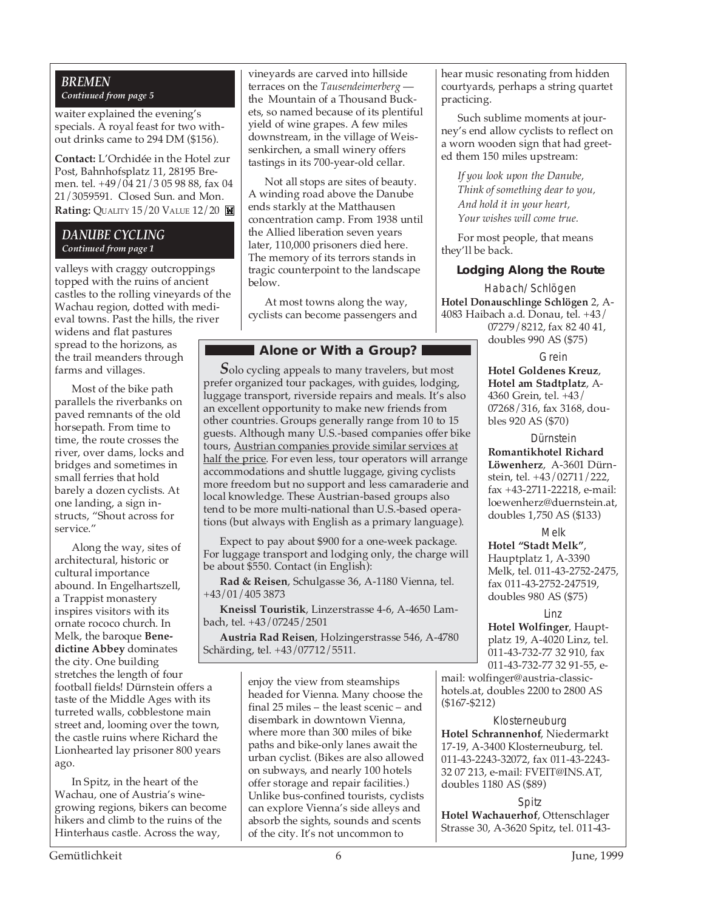## *BREMEN Continued from page 5*

waiter explained the evening's specials. A royal feast for two without drinks came to 294 DM (\$156).

**Contact:** L'Orchidée in the Hotel zur Post, Bahnhofsplatz 11, 28195 Bremen. tel. +49/04 21/3 05 98 88, fax 04 21/3059591. Closed Sun. and Mon. **Rating:** QUALITY 15/20 VALUE 12/20 **M** 

### *DANUBE CYCLING Continued from page 1*

valleys with craggy outcroppings topped with the ruins of ancient castles to the rolling vineyards of the Wachau region, dotted with medieval towns. Past the hills, the river

widens and flat pastures spread to the horizons, as the trail meanders through farms and villages.

Most of the bike path parallels the riverbanks on paved remnants of the old horsepath. From time to time, the route crosses the river, over dams, locks and bridges and sometimes in small ferries that hold barely a dozen cyclists. At one landing, a sign instructs, "Shout across for service."

Along the way, sites of architectural, historic or cultural importance abound. In Engelhartszell, a Trappist monastery inspires visitors with its ornate rococo church. In Melk, the baroque **Benedictine Abbey** dominates the city. One building stretches the length of four football fields! Dürnstein offers a taste of the Middle Ages with its turreted walls, cobblestone main street and, looming over the town, the castle ruins where Richard the Lionhearted lay prisoner 800 years ago.

In Spitz, in the heart of the Wachau, one of Austria's winegrowing regions, bikers can become hikers and climb to the ruins of the Hinterhaus castle. Across the way,

vineyards are carved into hillside terraces on the *Tausendeimerberg*  the Mountain of a Thousand Buckets, so named because of its plentiful yield of wine grapes. A few miles downstream, in the village of Weissenkirchen, a small winery offers tastings in its 700-year-old cellar.

Not all stops are sites of beauty. A winding road above the Danube ends starkly at the Matthausen concentration camp. From 1938 until the Allied liberation seven years later, 110,000 prisoners died here. The memory of its terrors stands in tragic counterpoint to the landscape below.

At most towns along the way, cyclists can become passengers and

## **Alone or With a Group?**

*S*olo cycling appeals to many travelers, but most prefer organized tour packages, with guides, lodging, luggage transport, riverside repairs and meals. It's also an excellent opportunity to make new friends from other countries. Groups generally range from 10 to 15 guests. Although many U.S.-based companies offer bike tours, Austrian companies provide similar services at half the price. For even less, tour operators will arrange accommodations and shuttle luggage, giving cyclists more freedom but no support and less camaraderie and local knowledge. These Austrian-based groups also tend to be more multi-national than U.S.-based operations (but always with English as a primary language).

Expect to pay about \$900 for a one-week package. For luggage transport and lodging only, the charge will be about \$550. Contact (in English):

**Rad & Reisen**, Schulgasse 36, A-1180 Vienna, tel. +43/01/405 3873

**Kneissl Touristik**, Linzerstrasse 4-6, A-4650 Lambach, tel. +43/07245/2501

**Austria Rad Reisen**, Holzingerstrasse 546, A-4780 Schärding, tel. +43/07712/5511.

> enjoy the view from steamships headed for Vienna. Many choose the final 25 miles – the least scenic – and disembark in downtown Vienna, where more than 300 miles of bike paths and bike-only lanes await the urban cyclist. (Bikes are also allowed on subways, and nearly 100 hotels offer storage and repair facilities.) Unlike bus-confined tourists, cyclists can explore Vienna's side alleys and absorb the sights, sounds and scents of the city. It's not uncommon to

hear music resonating from hidden courtyards, perhaps a string quartet practicing.

Such sublime moments at journey's end allow cyclists to reflect on a worn wooden sign that had greeted them 150 miles upstream:

*If you look upon the Danube, Think of something dear to you, And hold it in your heart, Your wishes will come true.*

For most people, that means they'll be back.

## **Lodging Along the Route**

Habach/Schlögen **Hotel Donauschlinge Schlögen** 2, A-4083 Haibach a.d. Donau, tel. +43/ 07279/8212, fax 82 40 41,

doubles 990 AS (\$75) Grein

**Hotel Goldenes Kreuz**, **Hotel am Stadtplatz**, A-4360 Grein, tel. +43/ 07268/316, fax 3168, doubles 920 AS (\$70)

**Dürnstein Romantikhotel Richard Löwenherz**, A-3601 Dürnstein, tel. +43/02711/222, fax +43-2711-22218, e-mail: loewenherz@duernstein.at, doubles 1,750 AS (\$133)

Melk

**Hotel "Stadt Melk"**, Hauptplatz 1, A-3390 Melk, tel. 011-43-2752-2475, fax 011-43-2752-247519, doubles 980 AS (\$75)

Linz

**Hotel Wolfinger**, Hauptplatz 19, A-4020 Linz, tel. 011-43-732-77 32 910, fax 011-43-732-77 32 91-55, e-

mail: wolfinger@austria-classichotels.at, doubles 2200 to 2800 AS (\$167-\$212)

Klosterneuburg **Hotel Schrannenhof**, Niedermarkt 17-19, A-3400 Klosterneuburg, tel. 011-43-2243-32072, fax 011-43-2243- 32 07 213, e-mail: FVEIT@INS.AT, doubles 1180 AS (\$89)

Spitz **Hotel Wachauerhof**, Ottenschlager Strasse 30, A-3620 Spitz, tel. 011-43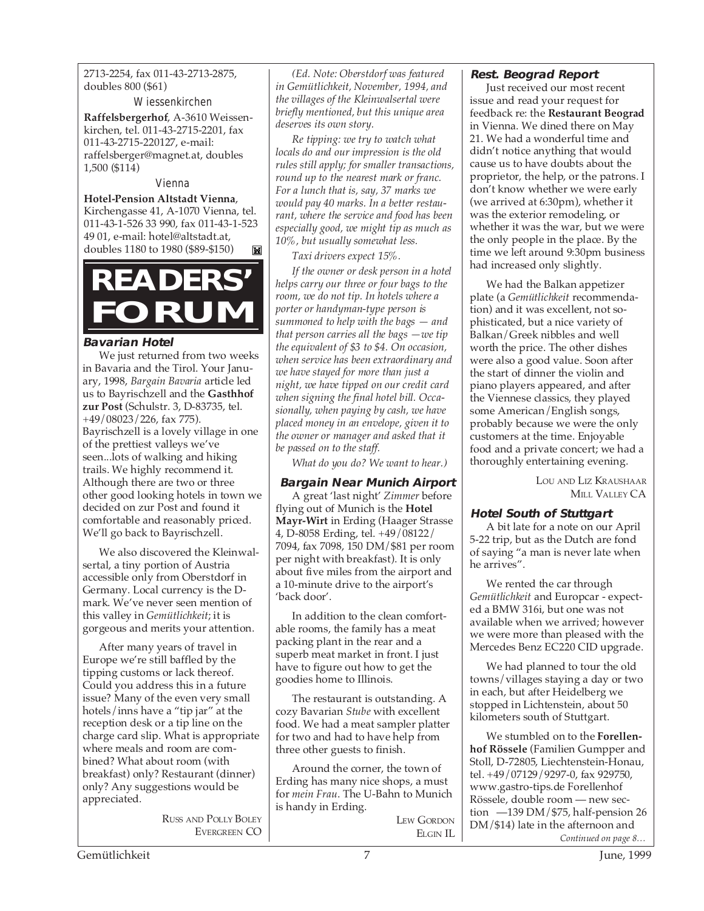2713-2254, fax 011-43-2713-2875, doubles 800 (\$61)

Wiessenkirchen **Raffelsbergerhof**, A-3610 Weissenkirchen, tel. 011-43-2715-2201, fax 011-43-2715-220127, e-mail: raffelsberger@magnet.at, doubles 1,500 (\$114)

Vienna

**Hotel-Pension Altstadt Vienna**, Kirchengasse 41, A-1070 Vienna, tel. 011-43-1-526 33 990, fax 011-43-1-523 49 01, e-mail: hotel@altstadt.at, doubles 1180 to 1980 (\$89-\$150)

## **READERS' FORUM**

## **Bavarian Hotel**

We just returned from two weeks in Bavaria and the Tirol. Your January, 1998, *Bargain Bavaria* article led us to Bayrischzell and the **Gasthhof zur Post** (Schulstr. 3, D-83735, tel. +49/08023/226, fax 775). Bayrischzell is a lovely village in one of the prettiest valleys we've seen...lots of walking and hiking trails. We highly recommend it. Although there are two or three other good looking hotels in town we decided on zur Post and found it comfortable and reasonably priced. We'll go back to Bayrischzell.

We also discovered the Kleinwalsertal, a tiny portion of Austria accessible only from Oberstdorf in Germany. Local currency is the Dmark. We've never seen mention of this valley in *Gemütlichkeit*; it is gorgeous and merits your attention.

After many years of travel in Europe we're still baffled by the tipping customs or lack thereof. Could you address this in a future issue? Many of the even very small hotels/inns have a "tip jar" at the reception desk or a tip line on the charge card slip. What is appropriate where meals and room are combined? What about room (with breakfast) only? Restaurant (dinner) only? Any suggestions would be appreciated.

> RUSS AND POLLY BOLEY EVERGREEN CO

*(Ed. Note: Oberstdorf was featured in Gemütlichkeit, November, 1994, and the villages of the Kleinwalsertal were briefly mentioned, but this unique area deserves its own story.*

*Re tipping: we try to watch what locals do and our impression is the old rules still apply; for smaller transactions, round up to the nearest mark or franc. For a lunch that is, say, 37 marks we would pay 40 marks. In a better restaurant, where the service and food has been especially good, we might tip as much as 10%, but usually somewhat less.*

*Taxi drivers expect 15%.*

*If the owner or desk person in a hotel helps carry our three or four bags to the room, we do not tip. In hotels where a porter or handyman-type person is summoned to help with the bags — and that person carries all the bags —we tip the equivalent of \$3 to \$4. On occasion, when service has been extraordinary and we have stayed for more than just a night, we have tipped on our credit card when signing the final hotel bill. Occasionally, when paying by cash, we have placed money in an envelope, given it to the owner or manager and asked that it be passed on to the staff.*

*What do you do? We want to hear.)*

## **Bargain Near Munich Airport**

A great 'last night' *Zimmer* before flying out of Munich is the **Hotel Mayr-Wirt** in Erding (Haager Strasse 4, D-8058 Erding, tel. +49/08122/ 7094, fax 7098, 150 DM/\$81 per room per night with breakfast). It is only about five miles from the airport and a 10-minute drive to the airport's 'back door'.

In addition to the clean comfortable rooms, the family has a meat packing plant in the rear and a superb meat market in front. I just have to figure out how to get the goodies home to Illinois.

The restaurant is outstanding. A cozy Bavarian *Stube* with excellent food. We had a meat sampler platter for two and had to have help from three other guests to finish.

Around the corner, the town of Erding has many nice shops, a must for *mein Frau*. The U-Bahn to Munich is handy in Erding.

LEW GORDON ELGIN IL

## **Rest. Beograd Report**

Just received our most recent issue and read your request for feedback re: the **Restaurant Beograd** in Vienna. We dined there on May 21. We had a wonderful time and didn't notice anything that would cause us to have doubts about the proprietor, the help, or the patrons. I don't know whether we were early (we arrived at 6:30pm), whether it was the exterior remodeling, or whether it was the war, but we were the only people in the place. By the time we left around 9:30pm business had increased only slightly.

We had the Balkan appetizer plate (a *Gemütlichkeit* recommendation) and it was excellent, not sophisticated, but a nice variety of Balkan/Greek nibbles and well worth the price. The other dishes were also a good value. Soon after the start of dinner the violin and piano players appeared, and after the Viennese classics, they played some American/English songs, probably because we were the only customers at the time. Enjoyable food and a private concert; we had a thoroughly entertaining evening.

> LOU AND LIZ KRAUSHAAR **MILL VALLEY CA**

## **Hotel South of Stuttgart**

A bit late for a note on our April 5-22 trip, but as the Dutch are fond of saying "a man is never late when he arrives".

We rented the car through *Gemütlichkeit* and Europcar - expected a BMW 316i, but one was not available when we arrived; however we were more than pleased with the Mercedes Benz EC220 CID upgrade.

We had planned to tour the old towns/villages staying a day or two in each, but after Heidelberg we stopped in Lichtenstein, about 50 kilometers south of Stuttgart.

*Continued on page 8…* We stumbled on to the **Forellenhof Rössele** (Familien Gumpper and Stoll, D-72805, Liechtenstein-Honau, tel. +49/07129/9297-0, fax 929750, www.gastro-tips.de Forellenhof Rössele, double room — new section —139 DM/\$75, half-pension 26 DM/\$14) late in the afternoon and